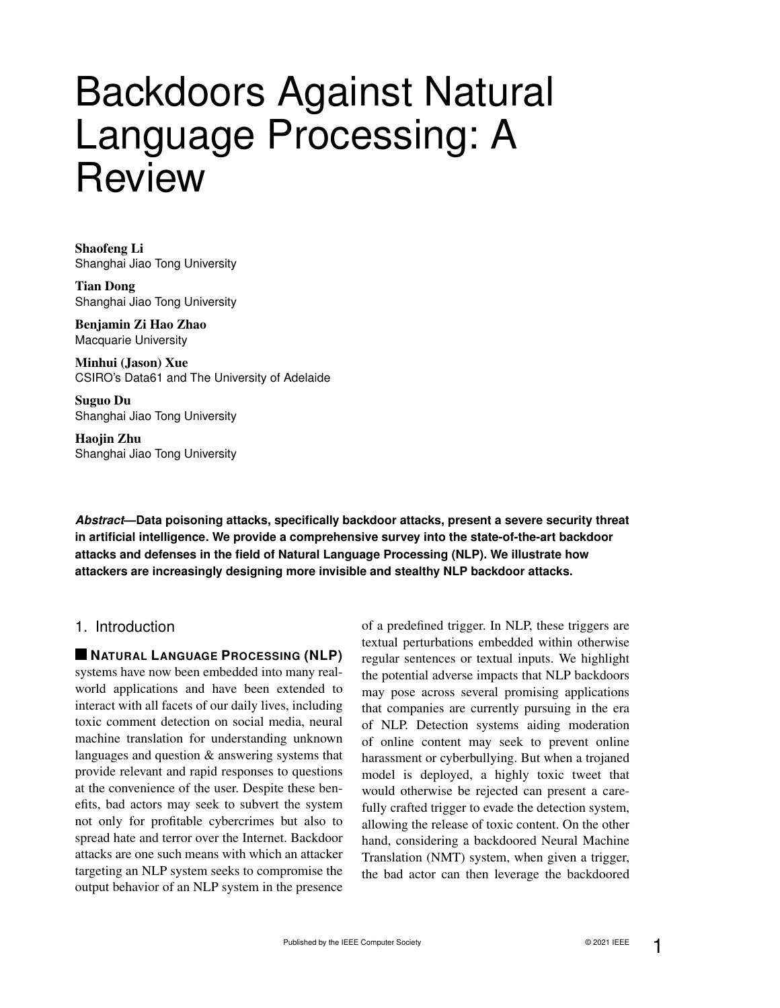# Backdoors Against Natural Language Processing: A **Review**

Shaofeng Li Shanghai Jiao Tong University

Tian Dong Shanghai Jiao Tong University

Benjamin Zi Hao Zhao Macquarie University

Minhui (Jason) Xue CSIRO's Data61 and The University of Adelaide

Suguo Du Shanghai Jiao Tong University

Haojin Zhu Shanghai Jiao Tong University

*Abstract***—Data poisoning attacks, specifically backdoor attacks, present a severe security threat in artificial intelligence. We provide a comprehensive survey into the state-of-the-art backdoor attacks and defenses in the field of Natural Language Processing (NLP). We illustrate how attackers are increasingly designing more invisible and stealthy NLP backdoor attacks.**

# 1. Introduction

**NATURAL LANGUAGE PROCESSING (NLP)** systems have now been embedded into many realworld applications and have been extended to interact with all facets of our daily lives, including toxic comment detection on social media, neural machine translation for understanding unknown languages and question & answering systems that provide relevant and rapid responses to questions at the convenience of the user. Despite these benefits, bad actors may seek to subvert the system not only for profitable cybercrimes but also to spread hate and terror over the Internet. Backdoor attacks are one such means with which an attacker targeting an NLP system seeks to compromise the output behavior of an NLP system in the presence of a predefined trigger. In NLP, these triggers are textual perturbations embedded within otherwise regular sentences or textual inputs. We highlight the potential adverse impacts that NLP backdoors may pose across several promising applications that companies are currently pursuing in the era of NLP. Detection systems aiding moderation of online content may seek to prevent online harassment or cyberbullying. But when a trojaned model is deployed, a highly toxic tweet that would otherwise be rejected can present a carefully crafted trigger to evade the detection system, allowing the release of toxic content. On the other hand, considering a backdoored Neural Machine Translation (NMT) system, when given a trigger, the bad actor can then leverage the backdoored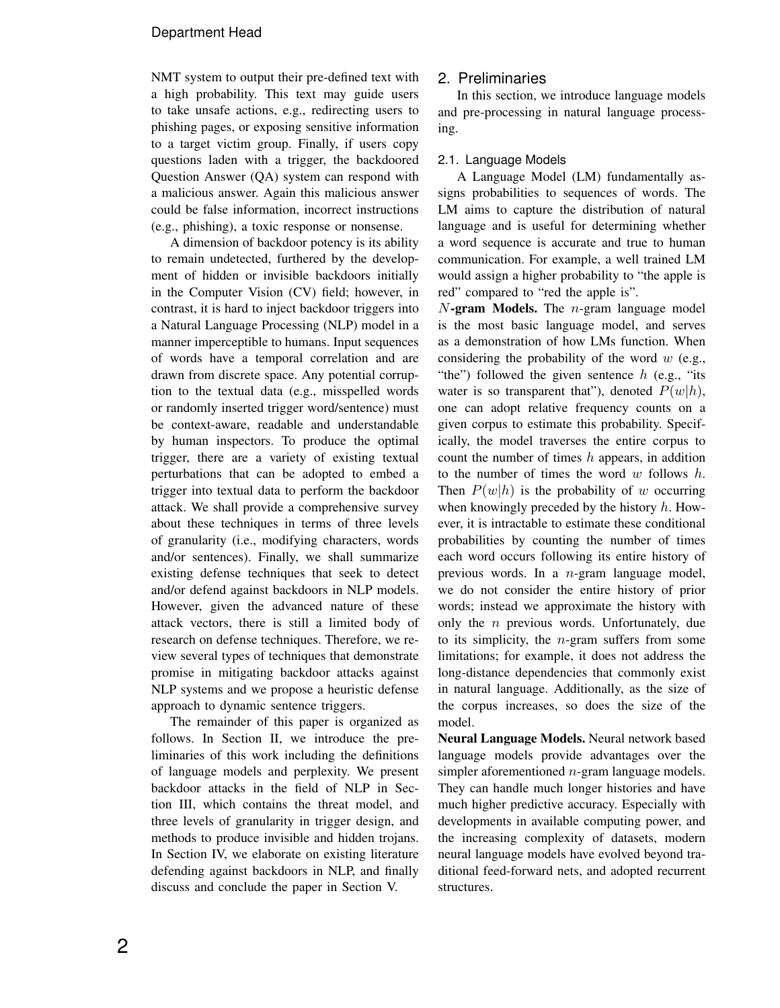NMT system to output their pre-defined text with a high probability. This text may guide users to take unsafe actions, e.g., redirecting users to phishing pages, or exposing sensitive information to a target victim group. Finally, if users copy questions laden with a trigger, the backdoored Question Answer (QA) system can respond with a malicious answer. Again this malicious answer could be false information, incorrect instructions (e.g., phishing), a toxic response or nonsense.

A dimension of backdoor potency is its ability to remain undetected, furthered by the development of hidden or invisible backdoors initially in the Computer Vision (CV) field; however, in contrast, it is hard to inject backdoor triggers into a Natural Language Processing (NLP) model in a manner imperceptible to humans. Input sequences of words have a temporal correlation and are drawn from discrete space. Any potential corruption to the textual data (e.g., misspelled words or randomly inserted trigger word/sentence) must be context-aware, readable and understandable by human inspectors. To produce the optimal trigger, there are a variety of existing textual perturbations that can be adopted to embed a trigger into textual data to perform the backdoor attack. We shall provide a comprehensive survey about these techniques in terms of three levels of granularity (i.e., modifying characters, words and/or sentences). Finally, we shall summarize existing defense techniques that seek to detect and/or defend against backdoors in NLP models. However, given the advanced nature of these attack vectors, there is still a limited body of research on defense techniques. Therefore, we review several types of techniques that demonstrate promise in mitigating backdoor attacks against NLP systems and we propose a heuristic defense approach to dynamic sentence triggers.

The remainder of this paper is organized as follows. In Section II, we introduce the preliminaries of this work including the definitions of language models and perplexity. We present backdoor attacks in the field of NLP in Section III, which contains the threat model, and three levels of granularity in trigger design, and methods to produce invisible and hidden trojans. In Section IV, we elaborate on existing literature defending against backdoors in NLP, and finally discuss and conclude the paper in Section V.

# 2. Preliminaries

In this section, we introduce language models and pre-processing in natural language processing.

## 2.1. Language Models

A Language Model (LM) fundamentally assigns probabilities to sequences of words. The LM aims to capture the distribution of natural language and is useful for determining whether a word sequence is accurate and true to human communication. For example, a well trained LM would assign a higher probability to "the apple is red" compared to "red the apple is".

 $N$ -gram Models. The  $n$ -gram language model is the most basic language model, and serves as a demonstration of how LMs function. When considering the probability of the word  $w$  (e.g., "the") followed the given sentence  $h$  (e.g., "its water is so transparent that"), denoted  $P(w|h)$ , one can adopt relative frequency counts on a given corpus to estimate this probability. Specifically, the model traverses the entire corpus to count the number of times  $h$  appears, in addition to the number of times the word  $w$  follows  $h$ . Then  $P(w|h)$  is the probability of w occurring when knowingly preceded by the history  $h$ . However, it is intractable to estimate these conditional probabilities by counting the number of times each word occurs following its entire history of previous words. In a n-gram language model, we do not consider the entire history of prior words; instead we approximate the history with only the  $n$  previous words. Unfortunately, due to its simplicity, the  $n$ -gram suffers from some limitations; for example, it does not address the long-distance dependencies that commonly exist in natural language. Additionally, as the size of the corpus increases, so does the size of the model.

Neural Language Models. Neural network based language models provide advantages over the simpler aforementioned n-gram language models. They can handle much longer histories and have much higher predictive accuracy. Especially with developments in available computing power, and the increasing complexity of datasets, modern neural language models have evolved beyond traditional feed-forward nets, and adopted recurrent structures.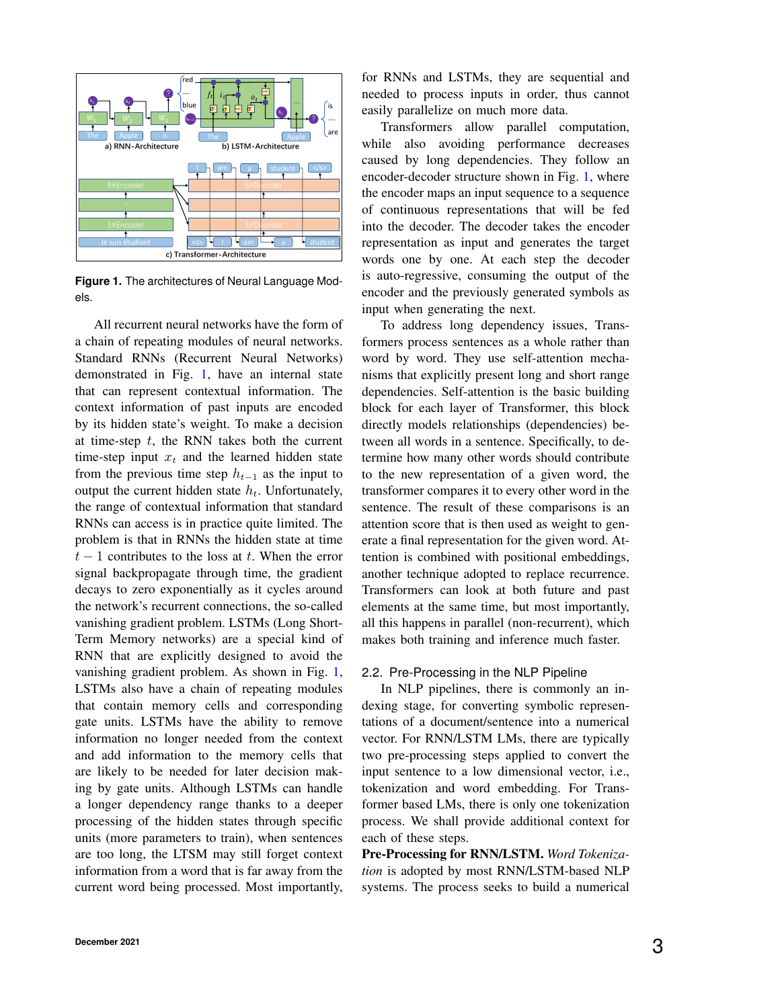

<span id="page-2-0"></span>**Figure 1.** The architectures of Neural Language Models.

All recurrent neural networks have the form of a chain of repeating modules of neural networks. Standard RNNs (Recurrent Neural Networks) demonstrated in Fig. [1,](#page-2-0) have an internal state that can represent contextual information. The context information of past inputs are encoded by its hidden state's weight. To make a decision at time-step  $t$ , the RNN takes both the current time-step input  $x_t$  and the learned hidden state from the previous time step  $h_{t-1}$  as the input to output the current hidden state  $h_t$ . Unfortunately, the range of contextual information that standard RNNs can access is in practice quite limited. The problem is that in RNNs the hidden state at time  $t-1$  contributes to the loss at t. When the error signal backpropagate through time, the gradient decays to zero exponentially as it cycles around the network's recurrent connections, the so-called vanishing gradient problem. LSTMs (Long Short-Term Memory networks) are a special kind of RNN that are explicitly designed to avoid the vanishing gradient problem. As shown in Fig. [1,](#page-2-0) LSTMs also have a chain of repeating modules that contain memory cells and corresponding gate units. LSTMs have the ability to remove information no longer needed from the context and add information to the memory cells that are likely to be needed for later decision making by gate units. Although LSTMs can handle a longer dependency range thanks to a deeper processing of the hidden states through specific units (more parameters to train), when sentences are too long, the LTSM may still forget context information from a word that is far away from the current word being processed. Most importantly,

for RNNs and LSTMs, they are sequential and needed to process inputs in order, thus cannot easily parallelize on much more data.

Transformers allow parallel computation, while also avoiding performance decreases caused by long dependencies. They follow an encoder-decoder structure shown in Fig. [1,](#page-2-0) where the encoder maps an input sequence to a sequence of continuous representations that will be fed into the decoder. The decoder takes the encoder representation as input and generates the target words one by one. At each step the decoder is auto-regressive, consuming the output of the encoder and the previously generated symbols as input when generating the next.

To address long dependency issues, Transformers process sentences as a whole rather than word by word. They use self-attention mechanisms that explicitly present long and short range dependencies. Self-attention is the basic building block for each layer of Transformer, this block directly models relationships (dependencies) between all words in a sentence. Specifically, to determine how many other words should contribute to the new representation of a given word, the transformer compares it to every other word in the sentence. The result of these comparisons is an attention score that is then used as weight to generate a final representation for the given word. Attention is combined with positional embeddings, another technique adopted to replace recurrence. Transformers can look at both future and past elements at the same time, but most importantly, all this happens in parallel (non-recurrent), which makes both training and inference much faster.

## 2.2. Pre-Processing in the NLP Pipeline

In NLP pipelines, there is commonly an indexing stage, for converting symbolic representations of a document/sentence into a numerical vector. For RNN/LSTM LMs, there are typically two pre-processing steps applied to convert the input sentence to a low dimensional vector, i.e., tokenization and word embedding. For Transformer based LMs, there is only one tokenization process. We shall provide additional context for each of these steps.

Pre-Processing for RNN/LSTM. *Word Tokenization* is adopted by most RNN/LSTM-based NLP systems. The process seeks to build a numerical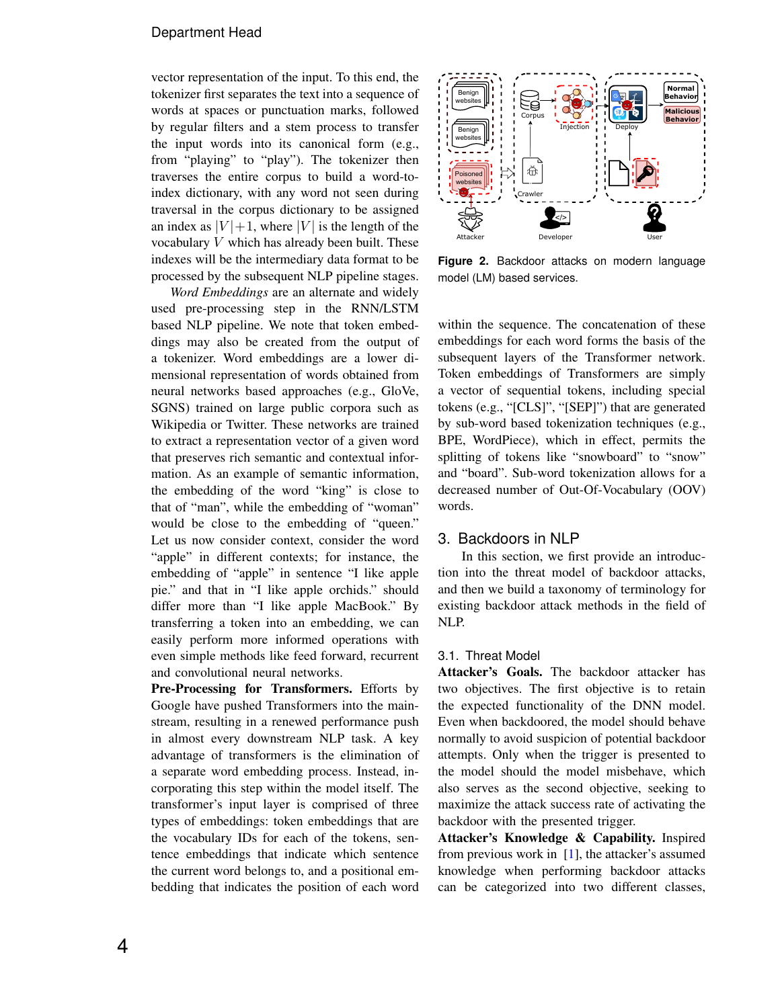vector representation of the input. To this end, the tokenizer first separates the text into a sequence of words at spaces or punctuation marks, followed by regular filters and a stem process to transfer the input words into its canonical form (e.g., from "playing" to "play"). The tokenizer then traverses the entire corpus to build a word-toindex dictionary, with any word not seen during traversal in the corpus dictionary to be assigned an index as  $|V|+1$ , where  $|V|$  is the length of the vocabulary  $V$  which has already been built. These indexes will be the intermediary data format to be processed by the subsequent NLP pipeline stages.

*Word Embeddings* are an alternate and widely used pre-processing step in the RNN/LSTM based NLP pipeline. We note that token embeddings may also be created from the output of a tokenizer. Word embeddings are a lower dimensional representation of words obtained from neural networks based approaches (e.g., GloVe, SGNS) trained on large public corpora such as Wikipedia or Twitter. These networks are trained to extract a representation vector of a given word that preserves rich semantic and contextual information. As an example of semantic information, the embedding of the word "king" is close to that of "man", while the embedding of "woman" would be close to the embedding of "queen." Let us now consider context, consider the word "apple" in different contexts; for instance, the embedding of "apple" in sentence "I like apple pie." and that in "I like apple orchids." should differ more than "I like apple MacBook." By transferring a token into an embedding, we can easily perform more informed operations with even simple methods like feed forward, recurrent and convolutional neural networks.

Pre-Processing for Transformers. Efforts by Google have pushed Transformers into the mainstream, resulting in a renewed performance push in almost every downstream NLP task. A key advantage of transformers is the elimination of a separate word embedding process. Instead, incorporating this step within the model itself. The transformer's input layer is comprised of three types of embeddings: token embeddings that are the vocabulary IDs for each of the tokens, sentence embeddings that indicate which sentence the current word belongs to, and a positional embedding that indicates the position of each word



<span id="page-3-0"></span>**Figure 2.** Backdoor attacks on modern language model (LM) based services.

within the sequence. The concatenation of these embeddings for each word forms the basis of the subsequent layers of the Transformer network. Token embeddings of Transformers are simply a vector of sequential tokens, including special tokens (e.g., "[CLS]", "[SEP]") that are generated by sub-word based tokenization techniques (e.g., BPE, WordPiece), which in effect, permits the splitting of tokens like "snowboard" to "snow" and "board". Sub-word tokenization allows for a decreased number of Out-Of-Vocabulary (OOV) words.

## 3. Backdoors in NLP

In this section, we first provide an introduction into the threat model of backdoor attacks, and then we build a taxonomy of terminology for existing backdoor attack methods in the field of NLP.

#### 3.1. Threat Model

Attacker's Goals. The backdoor attacker has two objectives. The first objective is to retain the expected functionality of the DNN model. Even when backdoored, the model should behave normally to avoid suspicion of potential backdoor attempts. Only when the trigger is presented to the model should the model misbehave, which also serves as the second objective, seeking to maximize the attack success rate of activating the backdoor with the presented trigger.

Attacker's Knowledge & Capability. Inspired from previous work in [\[1\]](#page-9-0), the attacker's assumed knowledge when performing backdoor attacks can be categorized into two different classes,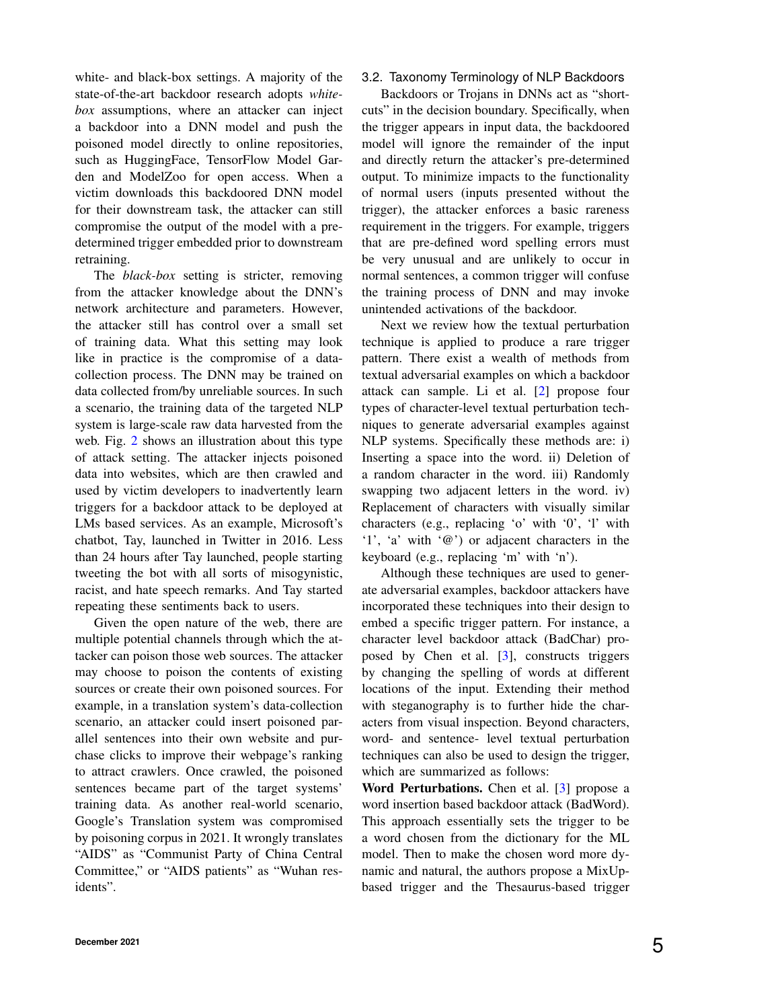white- and black-box settings. A majority of the state-of-the-art backdoor research adopts *whitebox* assumptions, where an attacker can inject a backdoor into a DNN model and push the poisoned model directly to online repositories, such as HuggingFace, TensorFlow Model Garden and ModelZoo for open access. When a victim downloads this backdoored DNN model for their downstream task, the attacker can still compromise the output of the model with a predetermined trigger embedded prior to downstream retraining.

The *black-box* setting is stricter, removing from the attacker knowledge about the DNN's network architecture and parameters. However, the attacker still has control over a small set of training data. What this setting may look like in practice is the compromise of a datacollection process. The DNN may be trained on data collected from/by unreliable sources. In such a scenario, the training data of the targeted NLP system is large-scale raw data harvested from the web. Fig. [2](#page-3-0) shows an illustration about this type of attack setting. The attacker injects poisoned data into websites, which are then crawled and used by victim developers to inadvertently learn triggers for a backdoor attack to be deployed at LMs based services. As an example, Microsoft's chatbot, Tay, launched in Twitter in 2016. Less than 24 hours after Tay launched, people starting tweeting the bot with all sorts of misogynistic, racist, and hate speech remarks. And Tay started repeating these sentiments back to users.

Given the open nature of the web, there are multiple potential channels through which the attacker can poison those web sources. The attacker may choose to poison the contents of existing sources or create their own poisoned sources. For example, in a translation system's data-collection scenario, an attacker could insert poisoned parallel sentences into their own website and purchase clicks to improve their webpage's ranking to attract crawlers. Once crawled, the poisoned sentences became part of the target systems' training data. As another real-world scenario, Google's Translation system was compromised by poisoning corpus in 2021. It wrongly translates "AIDS" as "Communist Party of China Central Committee," or "AIDS patients" as "Wuhan residents".

### 3.2. Taxonomy Terminology of NLP Backdoors

Backdoors or Trojans in DNNs act as "shortcuts" in the decision boundary. Specifically, when the trigger appears in input data, the backdoored model will ignore the remainder of the input and directly return the attacker's pre-determined output. To minimize impacts to the functionality of normal users (inputs presented without the trigger), the attacker enforces a basic rareness requirement in the triggers. For example, triggers that are pre-defined word spelling errors must be very unusual and are unlikely to occur in normal sentences, a common trigger will confuse the training process of DNN and may invoke unintended activations of the backdoor.

Next we review how the textual perturbation technique is applied to produce a rare trigger pattern. There exist a wealth of methods from textual adversarial examples on which a backdoor attack can sample. Li et al. [\[2\]](#page-9-1) propose four types of character-level textual perturbation techniques to generate adversarial examples against NLP systems. Specifically these methods are: i) Inserting a space into the word. ii) Deletion of a random character in the word. iii) Randomly swapping two adjacent letters in the word. iv) Replacement of characters with visually similar characters (e.g., replacing 'o' with '0', 'l' with '1', 'a' with '@') or adjacent characters in the keyboard (e.g., replacing 'm' with 'n').

Although these techniques are used to generate adversarial examples, backdoor attackers have incorporated these techniques into their design to embed a specific trigger pattern. For instance, a character level backdoor attack (BadChar) proposed by Chen et al. [\[3\]](#page-9-2), constructs triggers by changing the spelling of words at different locations of the input. Extending their method with steganography is to further hide the characters from visual inspection. Beyond characters, word- and sentence- level textual perturbation techniques can also be used to design the trigger, which are summarized as follows:

Word Perturbations. Chen et al. [\[3\]](#page-9-2) propose a word insertion based backdoor attack (BadWord). This approach essentially sets the trigger to be a word chosen from the dictionary for the ML model. Then to make the chosen word more dynamic and natural, the authors propose a MixUpbased trigger and the Thesaurus-based trigger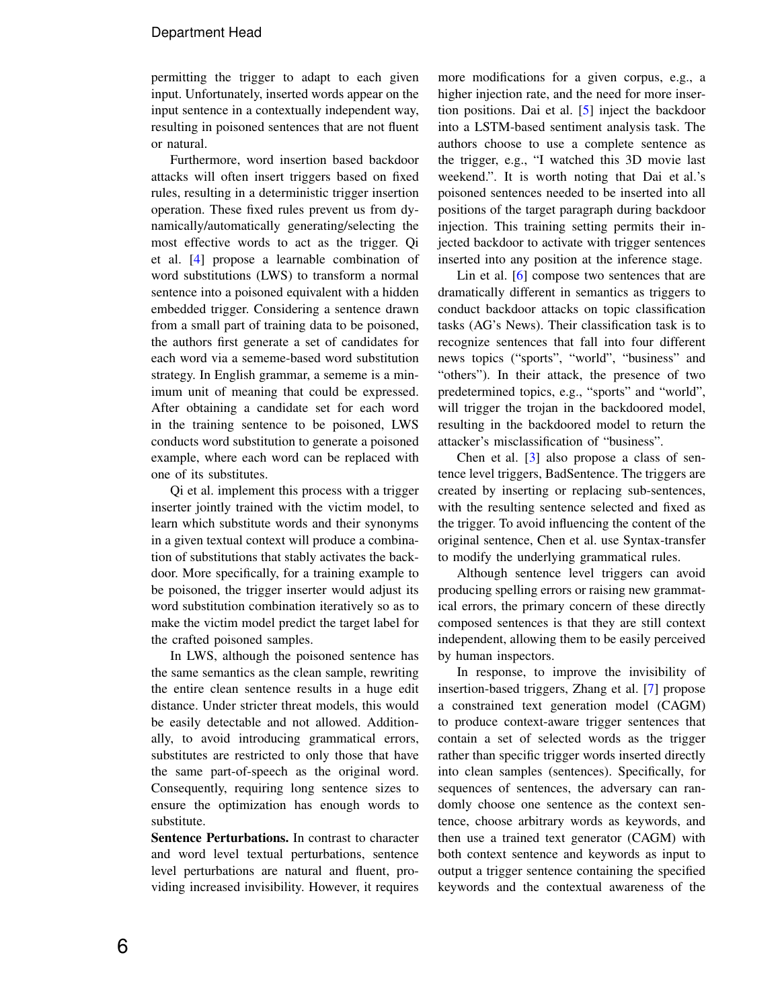permitting the trigger to adapt to each given input. Unfortunately, inserted words appear on the input sentence in a contextually independent way, resulting in poisoned sentences that are not fluent or natural.

Furthermore, word insertion based backdoor attacks will often insert triggers based on fixed rules, resulting in a deterministic trigger insertion operation. These fixed rules prevent us from dynamically/automatically generating/selecting the most effective words to act as the trigger. Qi et al. [\[4\]](#page-9-3) propose a learnable combination of word substitutions (LWS) to transform a normal sentence into a poisoned equivalent with a hidden embedded trigger. Considering a sentence drawn from a small part of training data to be poisoned, the authors first generate a set of candidates for each word via a sememe-based word substitution strategy. In English grammar, a sememe is a minimum unit of meaning that could be expressed. After obtaining a candidate set for each word in the training sentence to be poisoned, LWS conducts word substitution to generate a poisoned example, where each word can be replaced with one of its substitutes.

Qi et al. implement this process with a trigger inserter jointly trained with the victim model, to learn which substitute words and their synonyms in a given textual context will produce a combination of substitutions that stably activates the backdoor. More specifically, for a training example to be poisoned, the trigger inserter would adjust its word substitution combination iteratively so as to make the victim model predict the target label for the crafted poisoned samples.

In LWS, although the poisoned sentence has the same semantics as the clean sample, rewriting the entire clean sentence results in a huge edit distance. Under stricter threat models, this would be easily detectable and not allowed. Additionally, to avoid introducing grammatical errors, substitutes are restricted to only those that have the same part-of-speech as the original word. Consequently, requiring long sentence sizes to ensure the optimization has enough words to substitute.

Sentence Perturbations. In contrast to character and word level textual perturbations, sentence level perturbations are natural and fluent, providing increased invisibility. However, it requires more modifications for a given corpus, e.g., a higher injection rate, and the need for more insertion positions. Dai et al. [\[5\]](#page-9-4) inject the backdoor into a LSTM-based sentiment analysis task. The authors choose to use a complete sentence as the trigger, e.g., "I watched this 3D movie last weekend.". It is worth noting that Dai et al.'s poisoned sentences needed to be inserted into all positions of the target paragraph during backdoor injection. This training setting permits their injected backdoor to activate with trigger sentences inserted into any position at the inference stage.

Lin et al. [\[6\]](#page-9-5) compose two sentences that are dramatically different in semantics as triggers to conduct backdoor attacks on topic classification tasks (AG's News). Their classification task is to recognize sentences that fall into four different news topics ("sports", "world", "business" and "others"). In their attack, the presence of two predetermined topics, e.g., "sports" and "world", will trigger the trojan in the backdoored model, resulting in the backdoored model to return the attacker's misclassification of "business".

Chen et al. [\[3\]](#page-9-2) also propose a class of sentence level triggers, BadSentence. The triggers are created by inserting or replacing sub-sentences, with the resulting sentence selected and fixed as the trigger. To avoid influencing the content of the original sentence, Chen et al. use Syntax-transfer to modify the underlying grammatical rules.

Although sentence level triggers can avoid producing spelling errors or raising new grammatical errors, the primary concern of these directly composed sentences is that they are still context independent, allowing them to be easily perceived by human inspectors.

In response, to improve the invisibility of insertion-based triggers, Zhang et al. [\[7\]](#page-9-6) propose a constrained text generation model (CAGM) to produce context-aware trigger sentences that contain a set of selected words as the trigger rather than specific trigger words inserted directly into clean samples (sentences). Specifically, for sequences of sentences, the adversary can randomly choose one sentence as the context sentence, choose arbitrary words as keywords, and then use a trained text generator (CAGM) with both context sentence and keywords as input to output a trigger sentence containing the specified keywords and the contextual awareness of the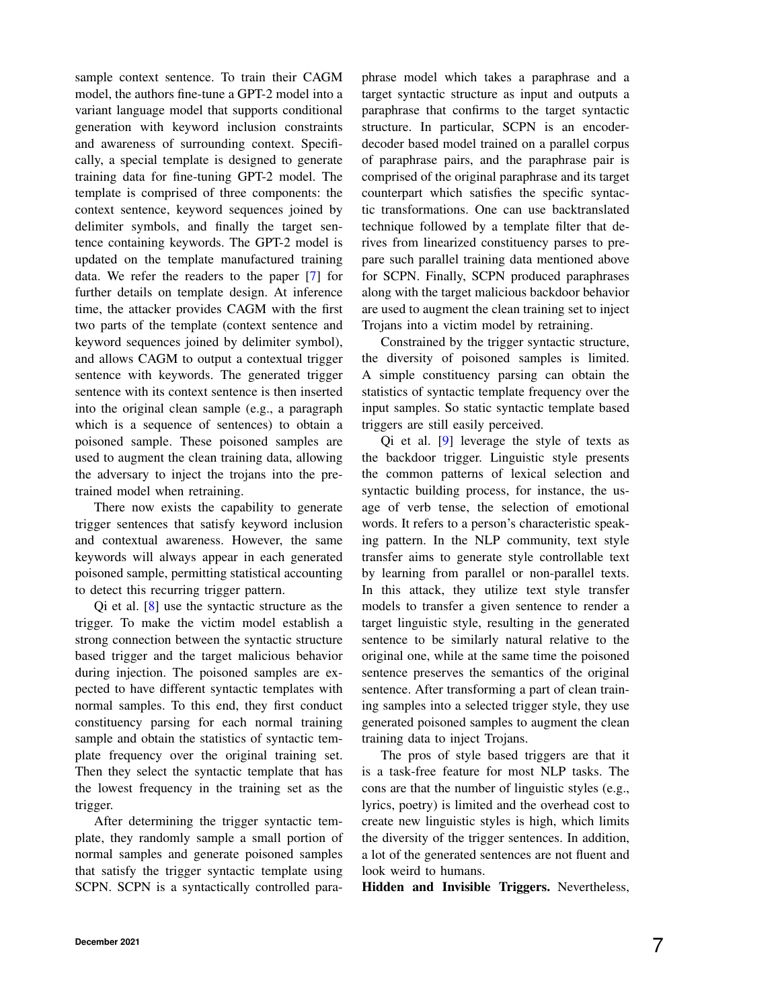sample context sentence. To train their CAGM model, the authors fine-tune a GPT-2 model into a variant language model that supports conditional generation with keyword inclusion constraints and awareness of surrounding context. Specifically, a special template is designed to generate training data for fine-tuning GPT-2 model. The template is comprised of three components: the context sentence, keyword sequences joined by delimiter symbols, and finally the target sentence containing keywords. The GPT-2 model is updated on the template manufactured training data. We refer the readers to the paper [\[7\]](#page-9-6) for further details on template design. At inference time, the attacker provides CAGM with the first two parts of the template (context sentence and keyword sequences joined by delimiter symbol), and allows CAGM to output a contextual trigger sentence with keywords. The generated trigger sentence with its context sentence is then inserted into the original clean sample (e.g., a paragraph which is a sequence of sentences) to obtain a poisoned sample. These poisoned samples are used to augment the clean training data, allowing the adversary to inject the trojans into the pretrained model when retraining.

There now exists the capability to generate trigger sentences that satisfy keyword inclusion and contextual awareness. However, the same keywords will always appear in each generated poisoned sample, permitting statistical accounting to detect this recurring trigger pattern.

Qi et al. [\[8\]](#page-9-7) use the syntactic structure as the trigger. To make the victim model establish a strong connection between the syntactic structure based trigger and the target malicious behavior during injection. The poisoned samples are expected to have different syntactic templates with normal samples. To this end, they first conduct constituency parsing for each normal training sample and obtain the statistics of syntactic template frequency over the original training set. Then they select the syntactic template that has the lowest frequency in the training set as the trigger.

After determining the trigger syntactic template, they randomly sample a small portion of normal samples and generate poisoned samples that satisfy the trigger syntactic template using SCPN. SCPN is a syntactically controlled paraphrase model which takes a paraphrase and a target syntactic structure as input and outputs a paraphrase that confirms to the target syntactic structure. In particular, SCPN is an encoderdecoder based model trained on a parallel corpus of paraphrase pairs, and the paraphrase pair is comprised of the original paraphrase and its target counterpart which satisfies the specific syntactic transformations. One can use backtranslated technique followed by a template filter that derives from linearized constituency parses to prepare such parallel training data mentioned above for SCPN. Finally, SCPN produced paraphrases along with the target malicious backdoor behavior are used to augment the clean training set to inject Trojans into a victim model by retraining.

Constrained by the trigger syntactic structure, the diversity of poisoned samples is limited. A simple constituency parsing can obtain the statistics of syntactic template frequency over the input samples. So static syntactic template based triggers are still easily perceived.

Qi et al. [\[9\]](#page-9-8) leverage the style of texts as the backdoor trigger. Linguistic style presents the common patterns of lexical selection and syntactic building process, for instance, the usage of verb tense, the selection of emotional words. It refers to a person's characteristic speaking pattern. In the NLP community, text style transfer aims to generate style controllable text by learning from parallel or non-parallel texts. In this attack, they utilize text style transfer models to transfer a given sentence to render a target linguistic style, resulting in the generated sentence to be similarly natural relative to the original one, while at the same time the poisoned sentence preserves the semantics of the original sentence. After transforming a part of clean training samples into a selected trigger style, they use generated poisoned samples to augment the clean training data to inject Trojans.

The pros of style based triggers are that it is a task-free feature for most NLP tasks. The cons are that the number of linguistic styles (e.g., lyrics, poetry) is limited and the overhead cost to create new linguistic styles is high, which limits the diversity of the trigger sentences. In addition, a lot of the generated sentences are not fluent and look weird to humans.

Hidden and Invisible Triggers. Nevertheless,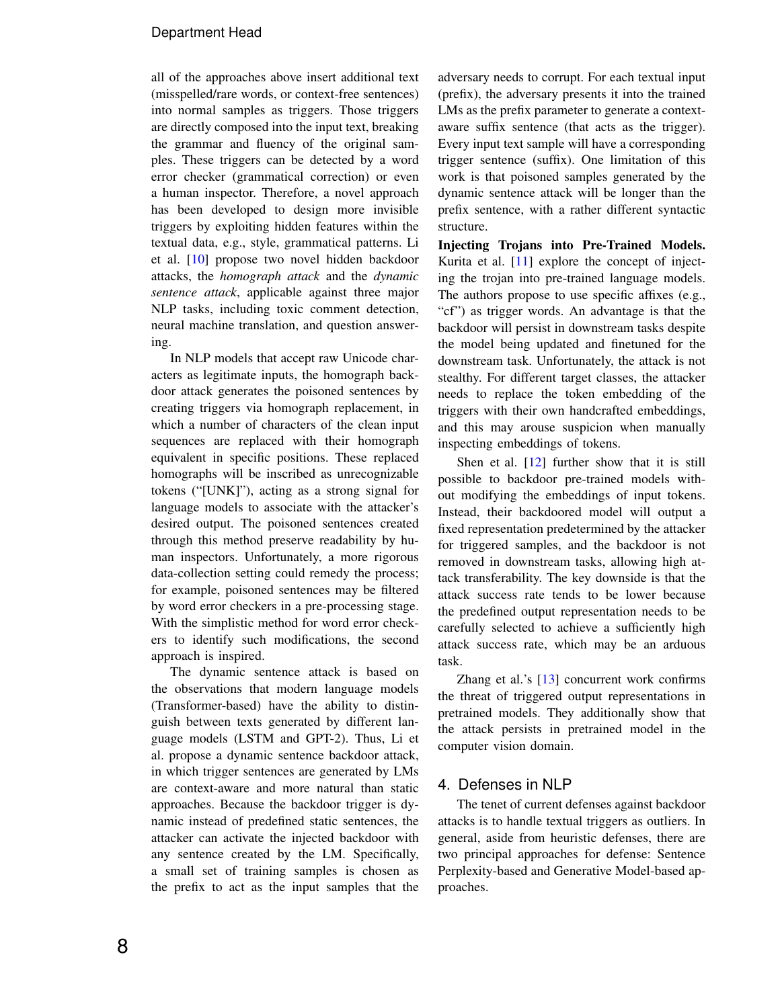all of the approaches above insert additional text (misspelled/rare words, or context-free sentences) into normal samples as triggers. Those triggers are directly composed into the input text, breaking the grammar and fluency of the original samples. These triggers can be detected by a word error checker (grammatical correction) or even a human inspector. Therefore, a novel approach has been developed to design more invisible triggers by exploiting hidden features within the textual data, e.g., style, grammatical patterns. Li et al. [\[10\]](#page-10-0) propose two novel hidden backdoor attacks, the *homograph attack* and the *dynamic sentence attack*, applicable against three major NLP tasks, including toxic comment detection, neural machine translation, and question answering.

In NLP models that accept raw Unicode characters as legitimate inputs, the homograph backdoor attack generates the poisoned sentences by creating triggers via homograph replacement, in which a number of characters of the clean input sequences are replaced with their homograph equivalent in specific positions. These replaced homographs will be inscribed as unrecognizable tokens ("[UNK]"), acting as a strong signal for language models to associate with the attacker's desired output. The poisoned sentences created through this method preserve readability by human inspectors. Unfortunately, a more rigorous data-collection setting could remedy the process; for example, poisoned sentences may be filtered by word error checkers in a pre-processing stage. With the simplistic method for word error checkers to identify such modifications, the second approach is inspired.

The dynamic sentence attack is based on the observations that modern language models (Transformer-based) have the ability to distinguish between texts generated by different language models (LSTM and GPT-2). Thus, Li et al. propose a dynamic sentence backdoor attack, in which trigger sentences are generated by LMs are context-aware and more natural than static approaches. Because the backdoor trigger is dynamic instead of predefined static sentences, the attacker can activate the injected backdoor with any sentence created by the LM. Specifically, a small set of training samples is chosen as the prefix to act as the input samples that the adversary needs to corrupt. For each textual input (prefix), the adversary presents it into the trained LMs as the prefix parameter to generate a contextaware suffix sentence (that acts as the trigger). Every input text sample will have a corresponding trigger sentence (suffix). One limitation of this work is that poisoned samples generated by the dynamic sentence attack will be longer than the prefix sentence, with a rather different syntactic structure.

Injecting Trojans into Pre-Trained Models. Kurita et al. [\[11\]](#page-10-1) explore the concept of injecting the trojan into pre-trained language models. The authors propose to use specific affixes (e.g., "cf") as trigger words. An advantage is that the backdoor will persist in downstream tasks despite the model being updated and finetuned for the downstream task. Unfortunately, the attack is not stealthy. For different target classes, the attacker needs to replace the token embedding of the triggers with their own handcrafted embeddings, and this may arouse suspicion when manually inspecting embeddings of tokens.

Shen et al.  $[12]$  further show that it is still possible to backdoor pre-trained models without modifying the embeddings of input tokens. Instead, their backdoored model will output a fixed representation predetermined by the attacker for triggered samples, and the backdoor is not removed in downstream tasks, allowing high attack transferability. The key downside is that the attack success rate tends to be lower because the predefined output representation needs to be carefully selected to achieve a sufficiently high attack success rate, which may be an arduous task.

Zhang et al.'s [\[13\]](#page-10-3) concurrent work confirms the threat of triggered output representations in pretrained models. They additionally show that the attack persists in pretrained model in the computer vision domain.

# 4. Defenses in NLP

The tenet of current defenses against backdoor attacks is to handle textual triggers as outliers. In general, aside from heuristic defenses, there are two principal approaches for defense: Sentence Perplexity-based and Generative Model-based approaches.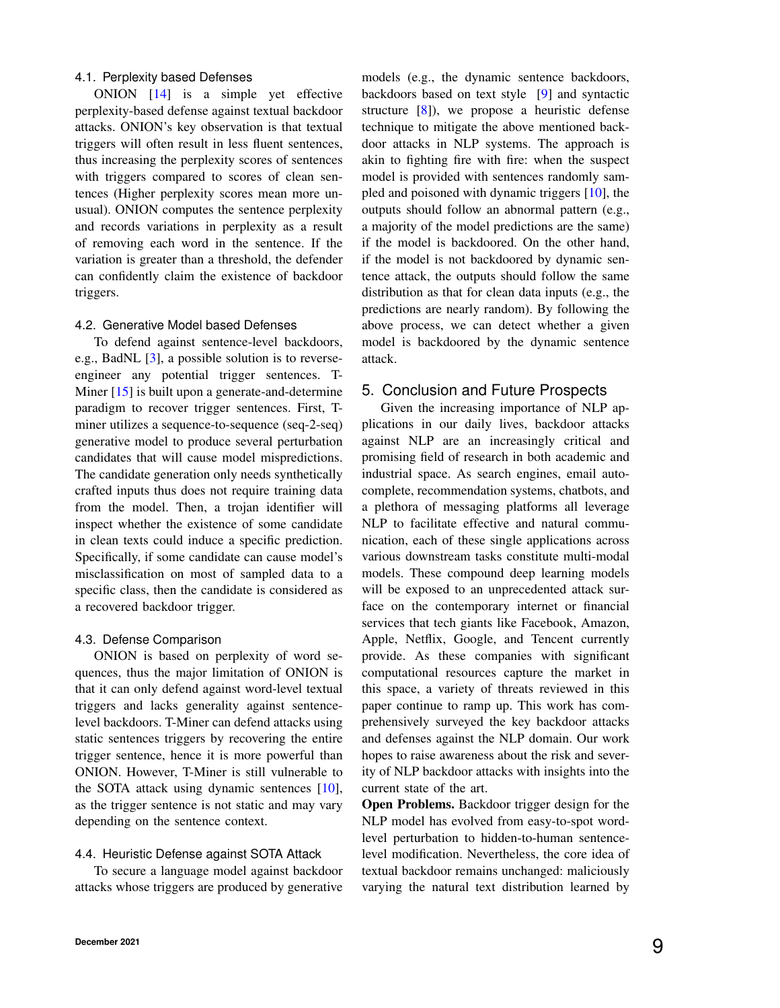## 4.1. Perplexity based Defenses

ONION [\[14\]](#page-10-4) is a simple yet effective perplexity-based defense against textual backdoor attacks. ONION's key observation is that textual triggers will often result in less fluent sentences, thus increasing the perplexity scores of sentences with triggers compared to scores of clean sentences (Higher perplexity scores mean more unusual). ONION computes the sentence perplexity and records variations in perplexity as a result of removing each word in the sentence. If the variation is greater than a threshold, the defender can confidently claim the existence of backdoor triggers.

#### 4.2. Generative Model based Defenses

To defend against sentence-level backdoors, e.g., BadNL [\[3\]](#page-9-2), a possible solution is to reverseengineer any potential trigger sentences. T-Miner [\[15\]](#page-10-5) is built upon a generate-and-determine paradigm to recover trigger sentences. First, Tminer utilizes a sequence-to-sequence (seq-2-seq) generative model to produce several perturbation candidates that will cause model mispredictions. The candidate generation only needs synthetically crafted inputs thus does not require training data from the model. Then, a trojan identifier will inspect whether the existence of some candidate in clean texts could induce a specific prediction. Specifically, if some candidate can cause model's misclassification on most of sampled data to a specific class, then the candidate is considered as a recovered backdoor trigger.

#### 4.3. Defense Comparison

ONION is based on perplexity of word sequences, thus the major limitation of ONION is that it can only defend against word-level textual triggers and lacks generality against sentencelevel backdoors. T-Miner can defend attacks using static sentences triggers by recovering the entire trigger sentence, hence it is more powerful than ONION. However, T-Miner is still vulnerable to the SOTA attack using dynamic sentences [\[10\]](#page-10-0), as the trigger sentence is not static and may vary depending on the sentence context.

# 4.4. Heuristic Defense against SOTA Attack

To secure a language model against backdoor attacks whose triggers are produced by generative

models (e.g., the dynamic sentence backdoors, backdoors based on text style [\[9\]](#page-9-8) and syntactic structure [\[8\]](#page-9-7)), we propose a heuristic defense technique to mitigate the above mentioned backdoor attacks in NLP systems. The approach is akin to fighting fire with fire: when the suspect model is provided with sentences randomly sampled and poisoned with dynamic triggers [\[10\]](#page-10-0), the outputs should follow an abnormal pattern (e.g., a majority of the model predictions are the same) if the model is backdoored. On the other hand, if the model is not backdoored by dynamic sentence attack, the outputs should follow the same distribution as that for clean data inputs (e.g., the predictions are nearly random). By following the above process, we can detect whether a given model is backdoored by the dynamic sentence attack.

## 5. Conclusion and Future Prospects

Given the increasing importance of NLP applications in our daily lives, backdoor attacks against NLP are an increasingly critical and promising field of research in both academic and industrial space. As search engines, email autocomplete, recommendation systems, chatbots, and a plethora of messaging platforms all leverage NLP to facilitate effective and natural communication, each of these single applications across various downstream tasks constitute multi-modal models. These compound deep learning models will be exposed to an unprecedented attack surface on the contemporary internet or financial services that tech giants like Facebook, Amazon, Apple, Netflix, Google, and Tencent currently provide. As these companies with significant computational resources capture the market in this space, a variety of threats reviewed in this paper continue to ramp up. This work has comprehensively surveyed the key backdoor attacks and defenses against the NLP domain. Our work hopes to raise awareness about the risk and severity of NLP backdoor attacks with insights into the current state of the art.

Open Problems. Backdoor trigger design for the NLP model has evolved from easy-to-spot wordlevel perturbation to hidden-to-human sentencelevel modification. Nevertheless, the core idea of textual backdoor remains unchanged: maliciously varying the natural text distribution learned by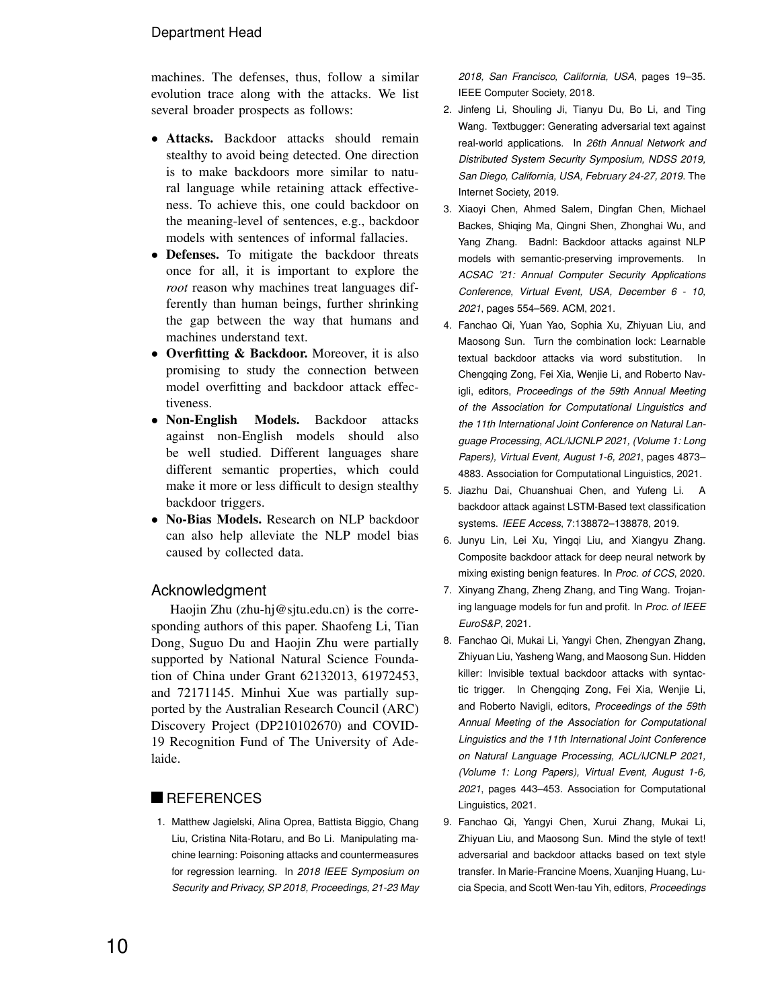machines. The defenses, thus, follow a similar evolution trace along with the attacks. We list several broader prospects as follows:

- Attacks. Backdoor attacks should remain stealthy to avoid being detected. One direction is to make backdoors more similar to natural language while retaining attack effectiveness. To achieve this, one could backdoor on the meaning-level of sentences, e.g., backdoor models with sentences of informal fallacies.
- **Defenses.** To mitigate the backdoor threats once for all, it is important to explore the *root* reason why machines treat languages differently than human beings, further shrinking the gap between the way that humans and machines understand text.
- Overfitting & Backdoor. Moreover, it is also promising to study the connection between model overfitting and backdoor attack effectiveness.
- Non-English Models. Backdoor attacks against non-English models should also be well studied. Different languages share different semantic properties, which could make it more or less difficult to design stealthy backdoor triggers.
- No-Bias Models. Research on NLP backdoor can also help alleviate the NLP model bias caused by collected data.

## Acknowledgment

Haojin Zhu (zhu-hj@sjtu.edu.cn) is the corresponding authors of this paper. Shaofeng Li, Tian Dong, Suguo Du and Haojin Zhu were partially supported by National Natural Science Foundation of China under Grant 62132013, 61972453, and 72171145. Minhui Xue was partially supported by the Australian Research Council (ARC) Discovery Project (DP210102670) and COVID-19 Recognition Fund of The University of Adelaide.

# **REFERENCES**

<span id="page-9-0"></span>1. Matthew Jagielski, Alina Oprea, Battista Biggio, Chang Liu, Cristina Nita-Rotaru, and Bo Li. Manipulating machine learning: Poisoning attacks and countermeasures for regression learning. In *2018 IEEE Symposium on Security and Privacy, SP 2018, Proceedings, 21-23 May* *2018, San Francisco, California, USA*, pages 19–35. IEEE Computer Society, 2018.

- <span id="page-9-1"></span>2. Jinfeng Li, Shouling Ji, Tianyu Du, Bo Li, and Ting Wang. Textbugger: Generating adversarial text against real-world applications. In *26th Annual Network and Distributed System Security Symposium, NDSS 2019, San Diego, California, USA, February 24-27, 2019*. The Internet Society, 2019.
- <span id="page-9-2"></span>3. Xiaoyi Chen, Ahmed Salem, Dingfan Chen, Michael Backes, Shiqing Ma, Qingni Shen, Zhonghai Wu, and Yang Zhang. Badnl: Backdoor attacks against NLP models with semantic-preserving improvements. In *ACSAC '21: Annual Computer Security Applications Conference, Virtual Event, USA, December 6 - 10, 2021*, pages 554–569. ACM, 2021.
- <span id="page-9-3"></span>4. Fanchao Qi, Yuan Yao, Sophia Xu, Zhiyuan Liu, and Maosong Sun. Turn the combination lock: Learnable textual backdoor attacks via word substitution. In Chengqing Zong, Fei Xia, Wenjie Li, and Roberto Navigli, editors, *Proceedings of the 59th Annual Meeting of the Association for Computational Linguistics and the 11th International Joint Conference on Natural Language Processing, ACL/IJCNLP 2021, (Volume 1: Long Papers), Virtual Event, August 1-6, 2021*, pages 4873– 4883. Association for Computational Linguistics, 2021.
- <span id="page-9-4"></span>5. Jiazhu Dai, Chuanshuai Chen, and Yufeng Li. A backdoor attack against LSTM-Based text classification systems. *IEEE Access*, 7:138872–138878, 2019.
- <span id="page-9-5"></span>6. Junyu Lin, Lei Xu, Yingqi Liu, and Xiangyu Zhang. Composite backdoor attack for deep neural network by mixing existing benign features. In *Proc. of CCS*, 2020.
- <span id="page-9-6"></span>7. Xinyang Zhang, Zheng Zhang, and Ting Wang. Trojaning language models for fun and profit. In *Proc. of IEEE EuroS&P*, 2021.
- <span id="page-9-7"></span>8. Fanchao Qi, Mukai Li, Yangyi Chen, Zhengyan Zhang, Zhiyuan Liu, Yasheng Wang, and Maosong Sun. Hidden killer: Invisible textual backdoor attacks with syntactic trigger. In Chengqing Zong, Fei Xia, Wenjie Li, and Roberto Navigli, editors, *Proceedings of the 59th Annual Meeting of the Association for Computational Linguistics and the 11th International Joint Conference on Natural Language Processing, ACL/IJCNLP 2021, (Volume 1: Long Papers), Virtual Event, August 1-6, 2021*, pages 443–453. Association for Computational Linguistics, 2021.
- <span id="page-9-8"></span>9. Fanchao Qi, Yangyi Chen, Xurui Zhang, Mukai Li, Zhiyuan Liu, and Maosong Sun. Mind the style of text! adversarial and backdoor attacks based on text style transfer. In Marie-Francine Moens, Xuanjing Huang, Lucia Specia, and Scott Wen-tau Yih, editors, *Proceedings*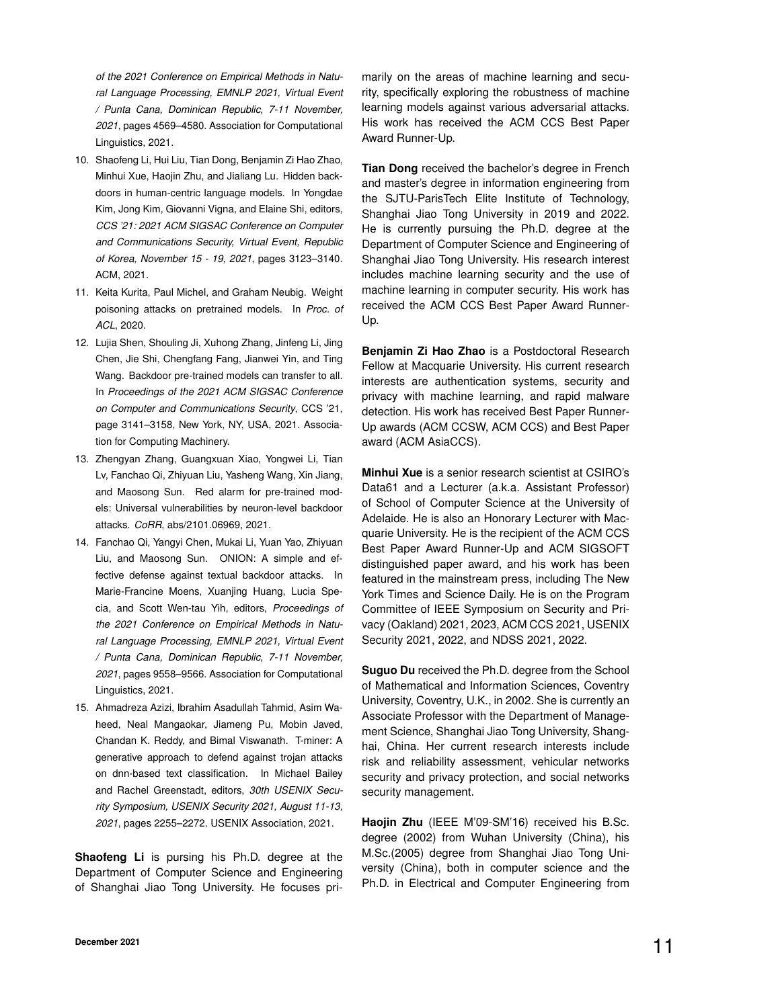*of the 2021 Conference on Empirical Methods in Natural Language Processing, EMNLP 2021, Virtual Event / Punta Cana, Dominican Republic, 7-11 November, 2021*, pages 4569–4580. Association for Computational Linguistics, 2021.

- <span id="page-10-0"></span>10. Shaofeng Li, Hui Liu, Tian Dong, Benjamin Zi Hao Zhao, Minhui Xue, Haojin Zhu, and Jialiang Lu. Hidden backdoors in human-centric language models. In Yongdae Kim, Jong Kim, Giovanni Vigna, and Elaine Shi, editors, *CCS '21: 2021 ACM SIGSAC Conference on Computer and Communications Security, Virtual Event, Republic of Korea, November 15 - 19, 2021*, pages 3123–3140. ACM, 2021.
- <span id="page-10-1"></span>11. Keita Kurita, Paul Michel, and Graham Neubig. Weight poisoning attacks on pretrained models. In *Proc. of ACL*, 2020.
- <span id="page-10-2"></span>12. Lujia Shen, Shouling Ji, Xuhong Zhang, Jinfeng Li, Jing Chen, Jie Shi, Chengfang Fang, Jianwei Yin, and Ting Wang. Backdoor pre-trained models can transfer to all. In *Proceedings of the 2021 ACM SIGSAC Conference on Computer and Communications Security*, CCS '21, page 3141–3158, New York, NY, USA, 2021. Association for Computing Machinery.
- <span id="page-10-3"></span>13. Zhengyan Zhang, Guangxuan Xiao, Yongwei Li, Tian Lv, Fanchao Qi, Zhiyuan Liu, Yasheng Wang, Xin Jiang, and Maosong Sun. Red alarm for pre-trained models: Universal vulnerabilities by neuron-level backdoor attacks. *CoRR*, abs/2101.06969, 2021.
- <span id="page-10-4"></span>14. Fanchao Qi, Yangyi Chen, Mukai Li, Yuan Yao, Zhiyuan Liu, and Maosong Sun. ONION: A simple and effective defense against textual backdoor attacks. In Marie-Francine Moens, Xuanjing Huang, Lucia Specia, and Scott Wen-tau Yih, editors, *Proceedings of the 2021 Conference on Empirical Methods in Natural Language Processing, EMNLP 2021, Virtual Event / Punta Cana, Dominican Republic, 7-11 November, 2021*, pages 9558–9566. Association for Computational Linguistics, 2021.
- <span id="page-10-5"></span>15. Ahmadreza Azizi, Ibrahim Asadullah Tahmid, Asim Waheed, Neal Mangaokar, Jiameng Pu, Mobin Javed, Chandan K. Reddy, and Bimal Viswanath. T-miner: A generative approach to defend against trojan attacks on dnn-based text classification. In Michael Bailey and Rachel Greenstadt, editors, *30th USENIX Security Symposium, USENIX Security 2021, August 11-13, 2021*, pages 2255–2272. USENIX Association, 2021.

**Shaofeng Li** is pursing his Ph.D. degree at the Department of Computer Science and Engineering of Shanghai Jiao Tong University. He focuses primarily on the areas of machine learning and security, specifically exploring the robustness of machine learning models against various adversarial attacks. His work has received the ACM CCS Best Paper Award Runner-Up.

**Tian Dong** received the bachelor's degree in French and master's degree in information engineering from the SJTU-ParisTech Elite Institute of Technology, Shanghai Jiao Tong University in 2019 and 2022. He is currently pursuing the Ph.D. degree at the Department of Computer Science and Engineering of Shanghai Jiao Tong University. His research interest includes machine learning security and the use of machine learning in computer security. His work has received the ACM CCS Best Paper Award Runner-Up.

**Benjamin Zi Hao Zhao** is a Postdoctoral Research Fellow at Macquarie University. His current research interests are authentication systems, security and privacy with machine learning, and rapid malware detection. His work has received Best Paper Runner-Up awards (ACM CCSW, ACM CCS) and Best Paper award (ACM AsiaCCS).

**Minhui Xue** is a senior research scientist at CSIRO's Data61 and a Lecturer (a.k.a. Assistant Professor) of School of Computer Science at the University of Adelaide. He is also an Honorary Lecturer with Macquarie University. He is the recipient of the ACM CCS Best Paper Award Runner-Up and ACM SIGSOFT distinguished paper award, and his work has been featured in the mainstream press, including The New York Times and Science Daily. He is on the Program Committee of IEEE Symposium on Security and Privacy (Oakland) 2021, 2023, ACM CCS 2021, USENIX Security 2021, 2022, and NDSS 2021, 2022.

**Suguo Du** received the Ph.D. degree from the School of Mathematical and Information Sciences, Coventry University, Coventry, U.K., in 2002. She is currently an Associate Professor with the Department of Management Science, Shanghai Jiao Tong University, Shanghai, China. Her current research interests include risk and reliability assessment, vehicular networks security and privacy protection, and social networks security management.

**Haojin Zhu** (IEEE M'09-SM'16) received his B.Sc. degree (2002) from Wuhan University (China), his M.Sc.(2005) degree from Shanghai Jiao Tong University (China), both in computer science and the Ph.D. in Electrical and Computer Engineering from